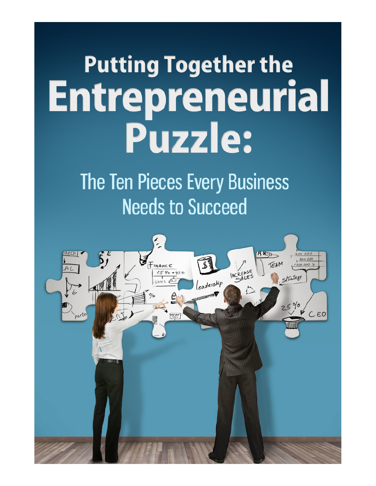# **Putting Together the** Entrepreneurial Puzzle:

The Ten Pieces Every Business **Needs to Succeed** 

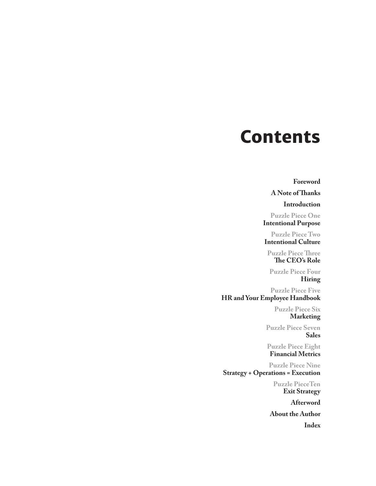# **Contents**

**Foreword**

**A Note of Thanks**

**Introduction**

**Puzzle Piece One Intentional Purpose**

**Puzzle Piece Two Intentional Culture**

**Puzzle Piece Three The CEO's Role**

**Puzzle Piece Four Hiring**

**Puzzle Piece Five HR and Your Employee Handbook**

> **Puzzle Piece Six Marketing**

**Puzzle Piece Seven Sales**

**Puzzle Piece Eight Financial Metrics**

**Puzzle Piece Nine Strategy + Operations = Execution**

> **Puzzle PieceTen Exit Strategy**

> > **Afterword**

**About the Author Index**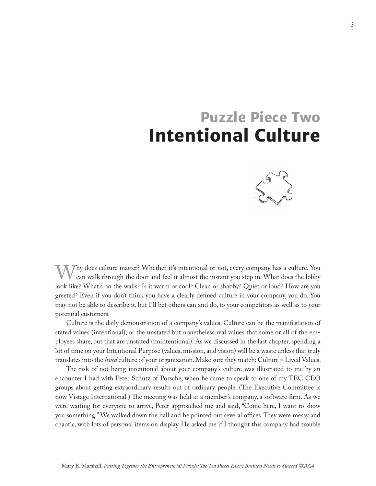# **Puzzle Piece Two Intentional Culture**



Whether it's intentional or not, every company has a culture. You can walk through the door and feel it almost the instant you step in. What does the lobby look like? What's on the walls? Is it warm or cool? Clean or shabby? Quiet or loud? How are you greeted? Even if you don't think you have a clearly defined culture in your company, you do. You may not be able to describe it, but I'll bet others can and do, to your competitors as well as to your potential customers.

Culture is the daily demonstration of a company's values. Culture can be the manifestation of stated values (intentional), or the unstated but nonetheless real values that some or all of the employees share, but that are unstated (unintentional). As we discussed in the last chapter, spending a lot of time on your Intentional Purpose (values, mission, and vision) will be a waste unless that truly translates into the *lived* culture of your organization. Make sure they match: Culture = Lived Values.

The risk of not being intentional about your company's culture was illustrated to me by an encounter I had with Peter Schutz of Porsche, when he came to speak to one of my TEC CEO groups about getting extraordinary results out of ordinary people. (The Executive Committee is now Vistage International.) The meeting was held at a member's company, a software firm. As we were waiting for everyone to arrive, Peter approached me and said, "Come here, I want to show you something." We walked down the hall and he pointed out several offices. They were messy and chaotic, with lots of personal items on display. He asked me if I thought this company had trouble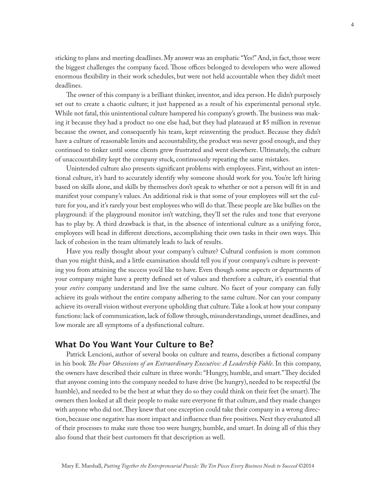sticking to plans and meeting deadlines. My answer was an emphatic "Yes!" And, in fact, those were the biggest challenges the company faced. Those offices belonged to developers who were allowed enormous flexibility in their work schedules, but were not held accountable when they didn't meet deadlines.

The owner of this company is a brilliant thinker, inventor, and idea person. He didn't purposely set out to create a chaotic culture; it just happened as a result of his experimental personal style. While not fatal, this unintentional culture hampered his company's growth. The business was making it because they had a product no one else had, but they had plateaued at \$5 million in revenue because the owner, and consequently his team, kept reinventing the product. Because they didn't have a culture of reasonable limits and accountability, the product was never good enough, and they continued to tinker until some clients grew frustrated and went elsewhere. Ultimately, the culture of unaccountability kept the company stuck, continuously repeating the same mistakes.

Unintended culture also presents significant problems with employees. First, without an intentional culture, it's hard to accurately identify why someone should work for you. You're left hiring based on skills alone, and skills by themselves don't speak to whether or not a person will fit in and manifest your company's values. An additional risk is that some of your employees will set the culture for you, and it's rarely your best employees who will do that. These people are like bullies on the playground: if the playground monitor isn't watching, they'll set the rules and tone that everyone has to play by. A third drawback is that, in the absence of intentional culture as a unifying force, employees will head in different directions, accomplishing their own tasks in their own ways. This lack of cohesion in the team ultimately leads to lack of results.

Have you really thought about your company's culture? Cultural confusion is more common than you might think, and a little examination should tell you if your company's culture is preventing you from attaining the success you'd like to have. Even though some aspects or departments of your company might have a pretty defined set of values and therefore a culture, it's essential that your *entire* company understand and live the same culture. No facet of your company can fully achieve its goals without the entire company adhering to the same culture. Nor can your company achieve its overall vision without everyone upholding that culture. Take a look at how your company functions: lack of communication, lack of follow through, misunderstandings, unmet deadlines, and low morale are all symptoms of a dysfunctional culture.

#### **What Do You Want Your Culture to Be?**

Patrick Lencioni, author of several books on culture and teams, describes a fictional company in his book *The Four Obsessions of an Extraordinary Executive: A Leadership Fable*. In this company, the owners have described their culture in three words: "Hungry, humble, and smart." They decided that anyone coming into the company needed to have drive (be hungry), needed to be respectful (be humble), and needed to be the best at what they do so they could think on their feet (be smart). The owners then looked at all their people to make sure everyone fit that culture, and they made changes with anyone who did not. They knew that one exception could take their company in a wrong direction, because one negative has more impact and influence than five positives. Next they evaluated all of their processes to make sure those too were hungry, humble, and smart. In doing all of this they also found that their best customers fit that description as well.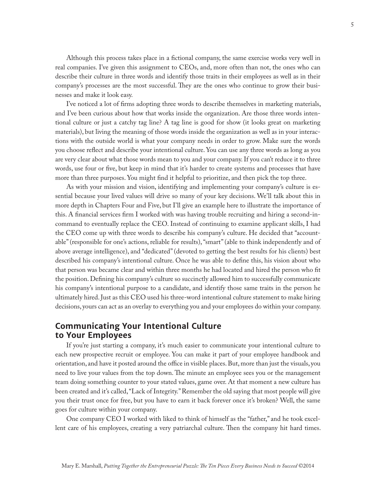Although this process takes place in a fictional company, the same exercise works very well in real companies. I've given this assignment to CEOs, and, more often than not, the ones who can describe their culture in three words and identify those traits in their employees as well as in their company's processes are the most successful. They are the ones who continue to grow their businesses and make it look easy.

I've noticed a lot of firms adopting three words to describe themselves in marketing materials, and I've been curious about how that works inside the organization. Are those three words intentional culture or just a catchy tag line? A tag line is good for show (it looks great on marketing materials), but living the meaning of those words inside the organization as well as in your interactions with the outside world is what your company needs in order to grow. Make sure the words you choose reflect and describe your intentional culture. You can use any three words as long as you are very clear about what those words mean to you and your company. If you can't reduce it to three words, use four or five, but keep in mind that it's harder to create systems and processes that have more than three purposes. You might find it helpful to prioritize, and then pick the top three.

As with your mission and vision, identifying and implementing your company's culture is essential because your lived values will drive so many of your key decisions. We'll talk about this in more depth in Chapters Four and Five, but I'll give an example here to illustrate the importance of this. A financial services firm I worked with was having trouble recruiting and hiring a second-incommand to eventually replace the CEO. Instead of continuing to examine applicant skills, I had the CEO come up with three words to describe his company's culture. He decided that "accountable" (responsible for one's actions, reliable for results), "smart" (able to think independently and of above average intelligence), and "dedicated" (devoted to getting the best results for his clients) best described his company's intentional culture. Once he was able to define this, his vision about who that person was became clear and within three months he had located and hired the person who fit the position. Defining his company's culture so succinctly allowed him to successfully communicate his company's intentional purpose to a candidate, and identify those same traits in the person he ultimately hired. Just as this CEO used his three-word intentional culture statement to make hiring decisions, yours can act as an overlay to everything you and your employees do within your company.

#### **Communicating Your Intentional Culture to Your Employees**

If you're just starting a company, it's much easier to communicate your intentional culture to each new prospective recruit or employee. You can make it part of your employee handbook and orientation, and have it posted around the office in visible places. But, more than just the visuals, you need to live your values from the top down. The minute an employee sees you or the management team doing something counter to your stated values, game over. At that moment a new culture has been created and it's called, "Lack of Integrity." Remember the old saying that most people will give you their trust once for free, but you have to earn it back forever once it's broken? Well, the same goes for culture within your company.

One company CEO I worked with liked to think of himself as the "father," and he took excellent care of his employees, creating a very patriarchal culture. Then the company hit hard times.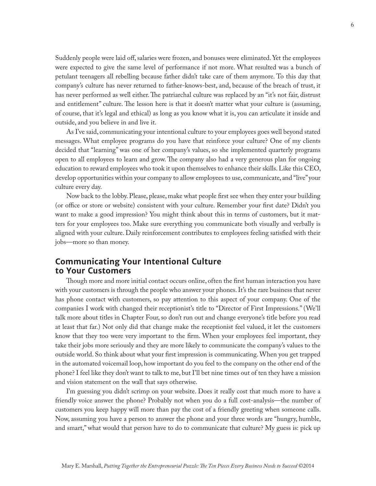Suddenly people were laid off, salaries were frozen, and bonuses were eliminated. Yet the employees were expected to give the same level of performance if not more. What resulted was a bunch of petulant teenagers all rebelling because father didn't take care of them anymore. To this day that company's culture has never returned to father-knows-best, and, because of the breach of trust, it has never performed as well either. The patriarchal culture was replaced by an "it's not fair, distrust and entitlement" culture. The lesson here is that it doesn't matter what your culture is (assuming, of course, that it's legal and ethical) as long as you know what it is, you can articulate it inside and outside, and you believe in and live it.

As I've said, communicating your intentional culture to your employees goes well beyond stated messages. What employee programs do you have that reinforce your culture? One of my clients decided that "learning" was one of her company's values, so she implemented quarterly programs open to all employees to learn and grow. The company also had a very generous plan for ongoing education to reward employees who took it upon themselves to enhance their skills. Like this CEO, develop opportunities within your company to allow employees to use, communicate, and "live" your culture every day.

Now back to the lobby. Please, please, make what people first see when they enter your building (or office or store or website) consistent with your culture. Remember your first date? Didn't you want to make a good impression? You might think about this in terms of customers, but it matters for your employees too. Make sure everything you communicate both visually and verbally is aligned with your culture. Daily reinforcement contributes to employees feeling satisfied with their jobs—more so than money.

#### **Communicating Your Intentional Culture to Your Customers**

Though more and more initial contact occurs online, often the first human interaction you have with your customers is through the people who answer your phones. It's the rare business that never has phone contact with customers, so pay attention to this aspect of your company. One of the companies I work with changed their receptionist's title to "Director of First Impressions." (We'll talk more about titles in Chapter Four, so don't run out and change everyone's title before you read at least that far.) Not only did that change make the receptionist feel valued, it let the customers know that they too were very important to the firm. When your employees feel important, they take their jobs more seriously and they are more likely to communicate the company's values to the outside world. So think about what your first impression is communicating. When you get trapped in the automated voicemail loop, how important do you feel to the company on the other end of the phone? I feel like they don't want to talk to me, but I'll bet nine times out of ten they have a mission and vision statement on the wall that says otherwise.

I'm guessing you didn't scrimp on your website. Does it really cost that much more to have a friendly voice answer the phone? Probably not when you do a full cost-analysis—the number of customers you keep happy will more than pay the cost of a friendly greeting when someone calls. Now, assuming you have a person to answer the phone and your three words are "hungry, humble, and smart," what would that person have to do to communicate that culture? My guess is: pick up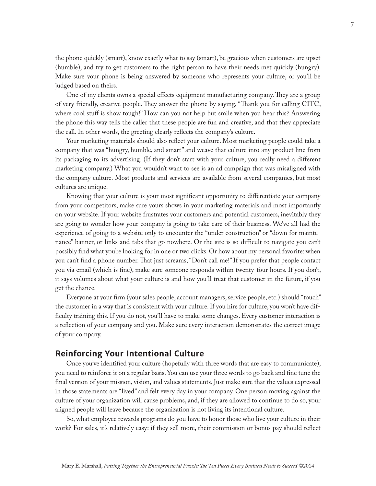the phone quickly (smart), know exactly what to say (smart), be gracious when customers are upset (humble), and try to get customers to the right person to have their needs met quickly (hungry). Make sure your phone is being answered by someone who represents your culture, or you'll be judged based on theirs.

One of my clients owns a special effects equipment manufacturing company. They are a group of very friendly, creative people. They answer the phone by saying, "Thank you for calling CITC, where cool stuff is show tough!" How can you not help but smile when you hear this? Answering the phone this way tells the caller that these people are fun and creative, and that they appreciate the call. In other words, the greeting clearly reflects the company's culture.

Your marketing materials should also reflect your culture. Most marketing people could take a company that was "hungry, humble, and smart" and weave that culture into any product line from its packaging to its advertising. (If they don't start with your culture, you really need a different marketing company.) What you wouldn't want to see is an ad campaign that was misaligned with the company culture. Most products and services are available from several companies, but most cultures are unique.

Knowing that your culture is your most significant opportunity to differentiate your company from your competitors, make sure yours shows in your marketing materials and most importantly on your website. If your website frustrates your customers and potential customers, inevitably they are going to wonder how your company is going to take care of their business. We've all had the experience of going to a website only to encounter the "under construction" or "down for maintenance" banner, or links and tabs that go nowhere. Or the site is so difficult to navigate you can't possibly find what you're looking for in one or two clicks. Or how about my personal favorite: when you can't find a phone number. That just screams, "Don't call me!" If you prefer that people contact you via email (which is fine), make sure someone responds within twenty-four hours. If you don't, it says volumes about what your culture is and how you'll treat that customer in the future, if you get the chance.

Everyone at your firm (your sales people, account managers, service people, etc.) should "touch" the customer in a way that is consistent with your culture. If you hire for culture, you won't have difficulty training this. If you do not, you'll have to make some changes. Every customer interaction is a reflection of your company and you. Make sure every interaction demonstrates the correct image of your company.

#### **Reinforcing Your Intentional Culture**

Once you've identified your culture (hopefully with three words that are easy to communicate), you need to reinforce it on a regular basis. You can use your three words to go back and fine tune the final version of your mission, vision, and values statements. Just make sure that the values expressed in those statements are "lived" and felt every day in your company. One person moving against the culture of your organization will cause problems, and, if they are allowed to continue to do so, your aligned people will leave because the organization is not living its intentional culture.

So, what employee rewards programs do you have to honor those who live your culture in their work? For sales, it's relatively easy: if they sell more, their commission or bonus pay should reflect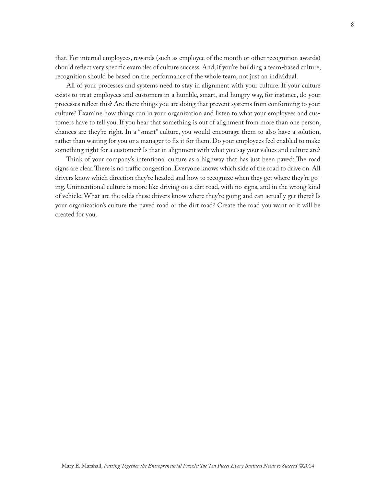that. For internal employees, rewards (such as employee of the month or other recognition awards) should reflect very specific examples of culture success. And, if you're building a team-based culture, recognition should be based on the performance of the whole team, not just an individual.

All of your processes and systems need to stay in alignment with your culture. If your culture exists to treat employees and customers in a humble, smart, and hungry way, for instance, do your processes reflect this? Are there things you are doing that prevent systems from conforming to your culture? Examine how things run in your organization and listen to what your employees and customers have to tell you. If you hear that something is out of alignment from more than one person, chances are they're right. In a "smart" culture, you would encourage them to also have a solution, rather than waiting for you or a manager to fix it for them. Do your employees feel enabled to make something right for a customer? Is that in alignment with what you say your values and culture are?

Think of your company's intentional culture as a highway that has just been paved: The road signs are clear. There is no traffic congestion. Everyone knows which side of the road to drive on. All drivers know which direction they're headed and how to recognize when they get where they're going. Unintentional culture is more like driving on a dirt road, with no signs, and in the wrong kind of vehicle. What are the odds these drivers know where they're going and can actually get there? Is your organization's culture the paved road or the dirt road? Create the road you want or it will be created for you.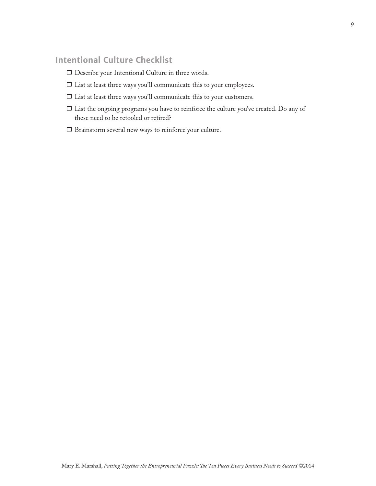## **Intentional Culture Checklist**

- $\Box$  Describe your Intentional Culture in three words.
- $\Box$  List at least three ways you'll communicate this to your employees.
- $\Box$  List at least three ways you'll communicate this to your customers.
- $\Box$  List the ongoing programs you have to reinforce the culture you've created. Do any of these need to be retooled or retired?
- $\Box$  Brainstorm several new ways to reinforce your culture.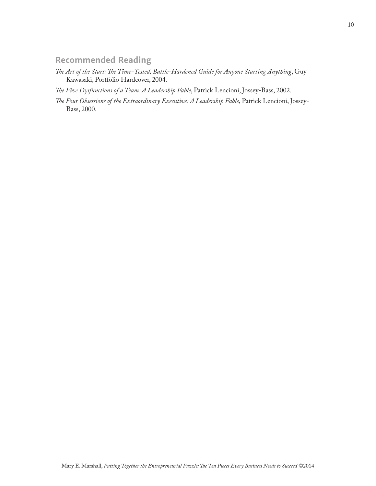### **Recommended Reading**

- *The Art of the Start: The Time-Tested, Battle-Hardened Guide for Anyone Starting Anything*, Guy Kawasaki, Portfolio Hardcover, 2004.
- *The Five Dysfunctions of a Team: A Leadership Fable*, Patrick Lencioni, Jossey-Bass, 2002.
- *The Four Obsessions of the Extraordinary Executive: A Leadership Fable*, Patrick Lencioni, Jossey-Bass, 2000.